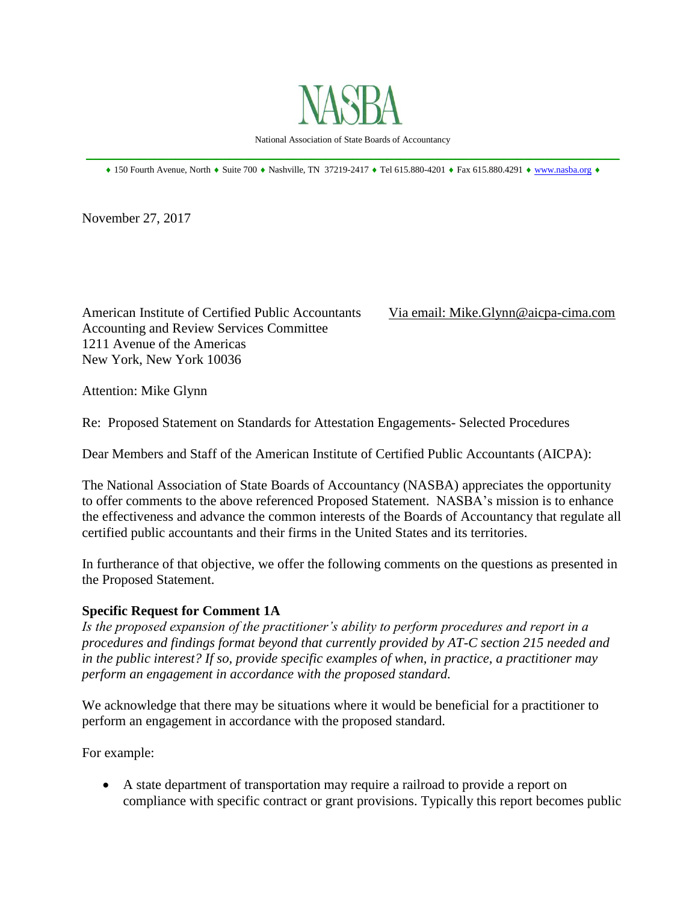

National Association of State Boards of Accountancy \_\_\_\_\_\_\_\_\_\_\_\_\_\_\_\_\_\_\_\_\_\_\_\_\_\_\_\_\_\_\_\_\_\_\_\_\_\_\_\_\_\_\_\_\_\_\_\_\_\_\_\_\_\_\_\_\_\_\_\_\_\_\_\_\_\_\_\_\_\_\_\_\_\_\_\_\_\_

 $*$  150 Fourth Avenue, North  $*$  Suite 700  $*$  Nashville, TN 37219-2417  $*$  Tel 615.880-4201  $*$  Fax 615.880.4291  $*$  [www.nasba.org](http://www.nasba.org/)  $*$ 

November 27, 2017

American Institute of Certified Public Accountants Via email: Mike.Glynn@aicpa-cima.com Accounting and Review Services Committee 1211 Avenue of the Americas New York, New York 10036

Attention: Mike Glynn

Re: Proposed Statement on Standards for Attestation Engagements- Selected Procedures

Dear Members and Staff of the American Institute of Certified Public Accountants (AICPA):

The National Association of State Boards of Accountancy (NASBA) appreciates the opportunity to offer comments to the above referenced Proposed Statement. NASBA's mission is to enhance the effectiveness and advance the common interests of the Boards of Accountancy that regulate all certified public accountants and their firms in the United States and its territories.

In furtherance of that objective, we offer the following comments on the questions as presented in the Proposed Statement.

#### **Specific Request for Comment 1A**

*Is the proposed expansion of the practitioner's ability to perform procedures and report in a procedures and findings format beyond that currently provided by AT-C section 215 needed and in the public interest? If so, provide specific examples of when, in practice, a practitioner may perform an engagement in accordance with the proposed standard.* 

We acknowledge that there may be situations where it would be beneficial for a practitioner to perform an engagement in accordance with the proposed standard.

For example:

• A state department of transportation may require a railroad to provide a report on compliance with specific contract or grant provisions. Typically this report becomes public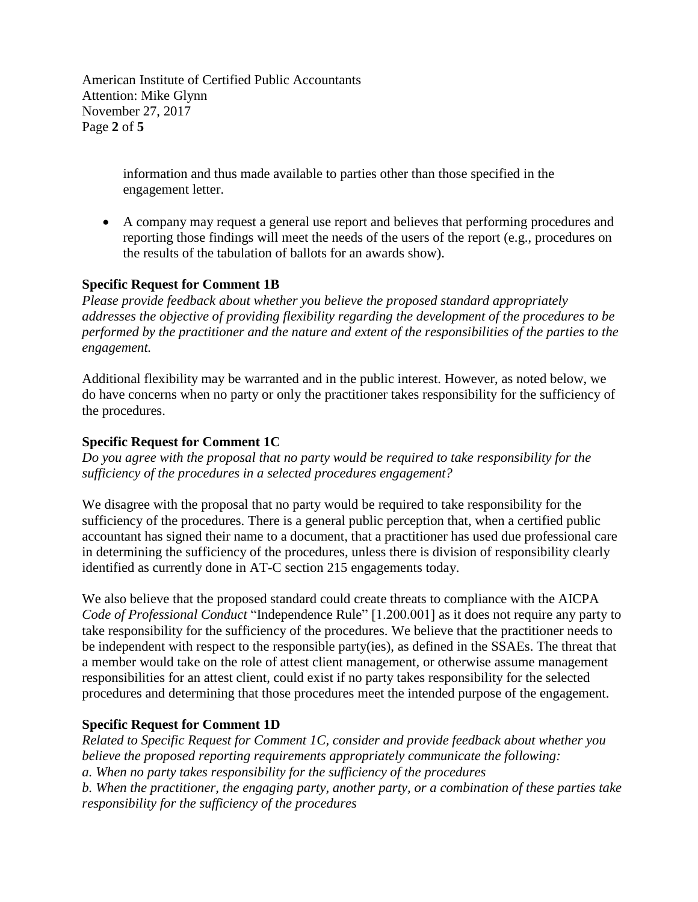American Institute of Certified Public Accountants Attention: Mike Glynn November 27, 2017 Page **2** of **5**

> information and thus made available to parties other than those specified in the engagement letter.

• A company may request a general use report and believes that performing procedures and reporting those findings will meet the needs of the users of the report (e.g., procedures on the results of the tabulation of ballots for an awards show).

#### **Specific Request for Comment 1B**

*Please provide feedback about whether you believe the proposed standard appropriately addresses the objective of providing flexibility regarding the development of the procedures to be performed by the practitioner and the nature and extent of the responsibilities of the parties to the engagement.* 

Additional flexibility may be warranted and in the public interest. However, as noted below, we do have concerns when no party or only the practitioner takes responsibility for the sufficiency of the procedures.

#### **Specific Request for Comment 1C**

*Do you agree with the proposal that no party would be required to take responsibility for the sufficiency of the procedures in a selected procedures engagement?* 

We disagree with the proposal that no party would be required to take responsibility for the sufficiency of the procedures. There is a general public perception that, when a certified public accountant has signed their name to a document, that a practitioner has used due professional care in determining the sufficiency of the procedures, unless there is division of responsibility clearly identified as currently done in AT-C section 215 engagements today.

We also believe that the proposed standard could create threats to compliance with the AICPA *Code of Professional Conduct* ["Independence Rule"](javascript:;) [1.200.001] as it does not require any party to take responsibility for the sufficiency of the procedures. We believe that the practitioner needs to be independent with respect to the responsible party(ies), as defined in the SSAEs. The threat that a member would take on the role of attest client management, or otherwise assume management responsibilities for an attest client, could exist if no party takes responsibility for the selected procedures and determining that those procedures meet the intended purpose of the engagement.

## **Specific Request for Comment 1D**

*Related to Specific Request for Comment 1C, consider and provide feedback about whether you believe the proposed reporting requirements appropriately communicate the following: a. When no party takes responsibility for the sufficiency of the procedures b. When the practitioner, the engaging party, another party, or a combination of these parties take responsibility for the sufficiency of the procedures*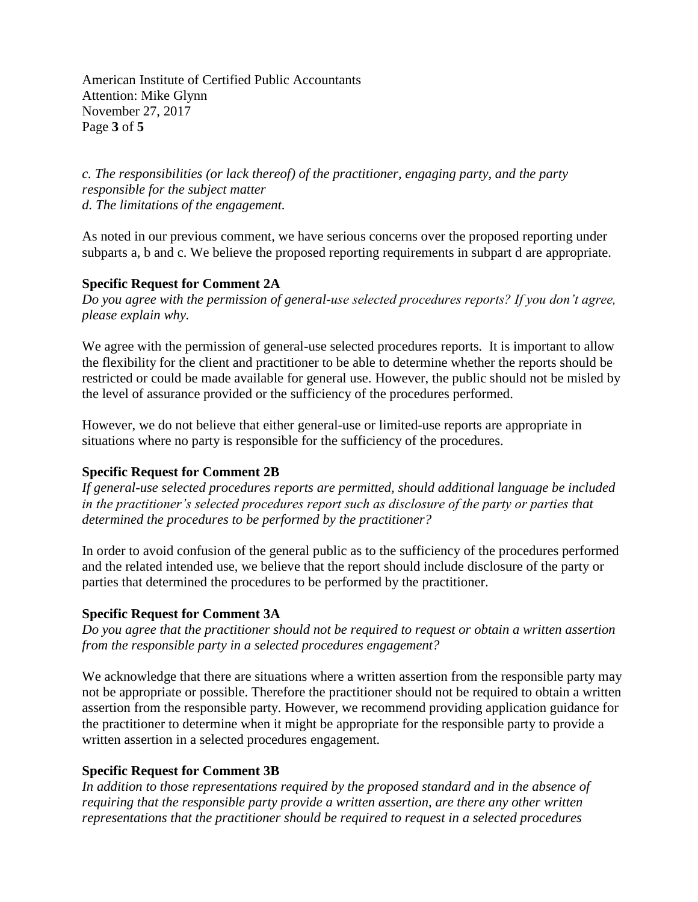American Institute of Certified Public Accountants Attention: Mike Glynn November 27, 2017 Page **3** of **5**

*c. The responsibilities (or lack thereof) of the practitioner, engaging party, and the party responsible for the subject matter d. The limitations of the engagement.*

As noted in our previous comment, we have serious concerns over the proposed reporting under subparts a, b and c. We believe the proposed reporting requirements in subpart d are appropriate.

#### **Specific Request for Comment 2A**

*Do you agree with the permission of general-use selected procedures reports? If you don't agree, please explain why.* 

We agree with the permission of general-use selected procedures reports. It is important to allow the flexibility for the client and practitioner to be able to determine whether the reports should be restricted or could be made available for general use. However, the public should not be misled by the level of assurance provided or the sufficiency of the procedures performed.

However, we do not believe that either general-use or limited-use reports are appropriate in situations where no party is responsible for the sufficiency of the procedures.

## **Specific Request for Comment 2B**

*If general-use selected procedures reports are permitted, should additional language be included in the practitioner's selected procedures report such as disclosure of the party or parties that determined the procedures to be performed by the practitioner?*

In order to avoid confusion of the general public as to the sufficiency of the procedures performed and the related intended use, we believe that the report should include disclosure of the party or parties that determined the procedures to be performed by the practitioner.

## **Specific Request for Comment 3A**

*Do you agree that the practitioner should not be required to request or obtain a written assertion from the responsible party in a selected procedures engagement?*

We acknowledge that there are situations where a written assertion from the responsible party may not be appropriate or possible. Therefore the practitioner should not be required to obtain a written assertion from the responsible party. However, we recommend providing application guidance for the practitioner to determine when it might be appropriate for the responsible party to provide a written assertion in a selected procedures engagement.

## **Specific Request for Comment 3B**

*In addition to those representations required by the proposed standard and in the absence of requiring that the responsible party provide a written assertion, are there any other written representations that the practitioner should be required to request in a selected procedures*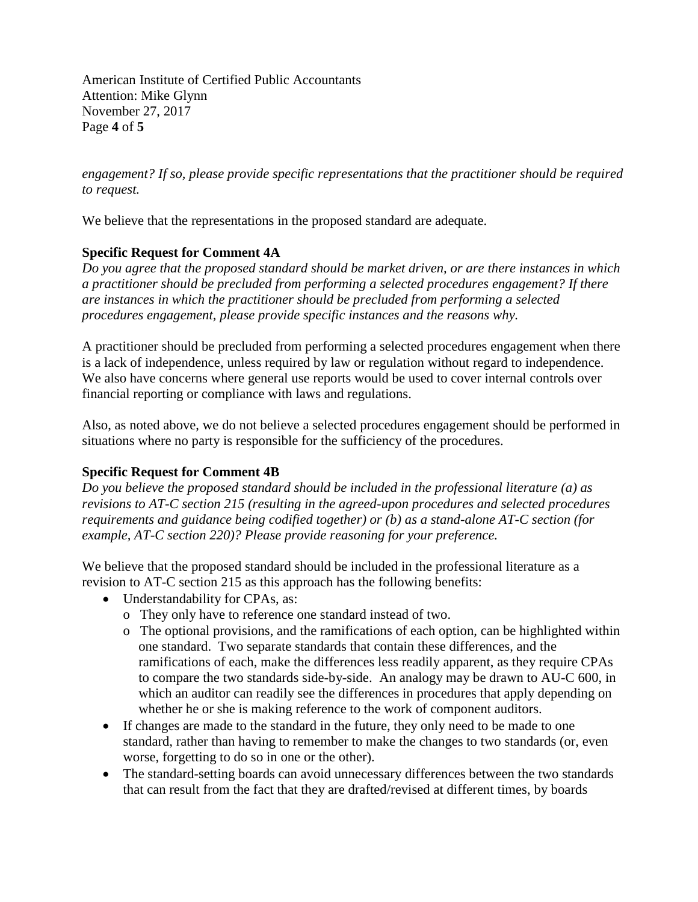American Institute of Certified Public Accountants Attention: Mike Glynn November 27, 2017 Page **4** of **5**

*engagement? If so, please provide specific representations that the practitioner should be required to request.*

We believe that the representations in the proposed standard are adequate.

# **Specific Request for Comment 4A**

*Do you agree that the proposed standard should be market driven, or are there instances in which a practitioner should be precluded from performing a selected procedures engagement? If there are instances in which the practitioner should be precluded from performing a selected procedures engagement, please provide specific instances and the reasons why.* 

A practitioner should be precluded from performing a selected procedures engagement when there is a lack of independence, unless required by law or regulation without regard to independence. We also have concerns where general use reports would be used to cover internal controls over financial reporting or compliance with laws and regulations.

Also, as noted above, we do not believe a selected procedures engagement should be performed in situations where no party is responsible for the sufficiency of the procedures.

## **Specific Request for Comment 4B**

*Do you believe the proposed standard should be included in the professional literature (a) as revisions to AT-C section 215 (resulting in the agreed-upon procedures and selected procedures requirements and guidance being codified together) or (b) as a stand-alone AT-C section (for example, AT-C section 220)? Please provide reasoning for your preference.*

We believe that the proposed standard should be included in the professional literature as a revision to AT-C section 215 as this approach has the following benefits:

- Understandability for CPAs, as:
	- o They only have to reference one standard instead of two.
	- o The optional provisions, and the ramifications of each option, can be highlighted within one standard. Two separate standards that contain these differences, and the ramifications of each, make the differences less readily apparent, as they require CPAs to compare the two standards side-by-side. An analogy may be drawn to AU-C 600, in which an auditor can readily see the differences in procedures that apply depending on whether he or she is making reference to the work of component auditors.
- If changes are made to the standard in the future, they only need to be made to one standard, rather than having to remember to make the changes to two standards (or, even worse, forgetting to do so in one or the other).
- The standard-setting boards can avoid unnecessary differences between the two standards that can result from the fact that they are drafted/revised at different times, by boards